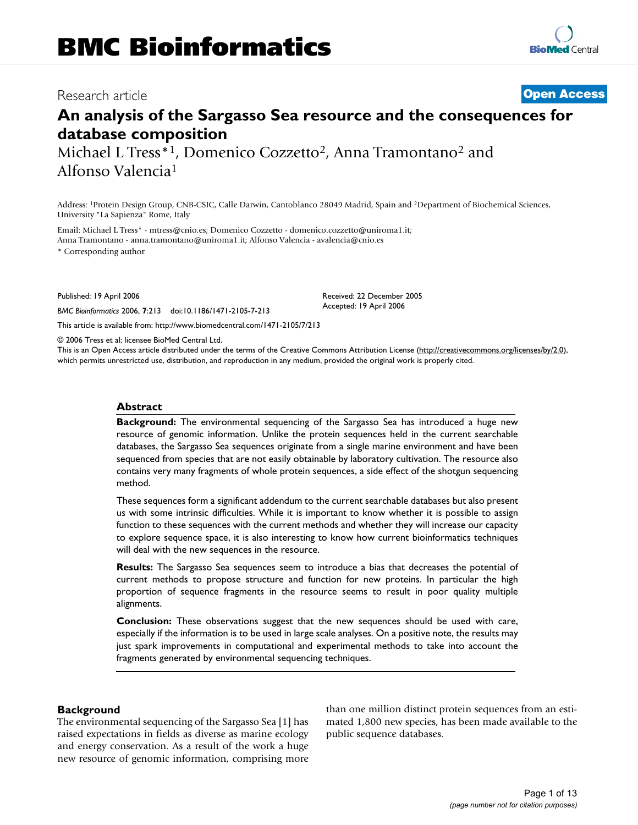# Research article **[Open Access](http://www.biomedcentral.com/info/about/charter/)**

## **An analysis of the Sargasso Sea resource and the consequences for database composition**

Michael L Tress<sup>\*1</sup>, Domenico Cozzetto<sup>2</sup>, Anna Tramontano<sup>2</sup> and Alfonso Valencia1

Address: 1Protein Design Group, CNB-CSIC, Calle Darwin, Cantoblanco 28049 Madrid, Spain and 2Department of Biochemical Sciences, University "La Sapienza" Rome, Italy

Email: Michael L Tress\* - mtress@cnio.es; Domenico Cozzetto - domenico.cozzetto@uniroma1.it; Anna Tramontano - anna.tramontano@uniroma1.it; Alfonso Valencia - avalencia@cnio.es

\* Corresponding author

Published: 19 April 2006

*BMC Bioinformatics* 2006, **7**:213 doi:10.1186/1471-2105-7-213

[This article is available from: http://www.biomedcentral.com/1471-2105/7/213](http://www.biomedcentral.com/1471-2105/7/213)

© 2006 Tress et al; licensee BioMed Central Ltd.

This is an Open Access article distributed under the terms of the Creative Commons Attribution License [\(http://creativecommons.org/licenses/by/2.0\)](http://creativecommons.org/licenses/by/2.0), which permits unrestricted use, distribution, and reproduction in any medium, provided the original work is properly cited.

Received: 22 December 2005 Accepted: 19 April 2006

#### **Abstract**

**Background:** The environmental sequencing of the Sargasso Sea has introduced a huge new resource of genomic information. Unlike the protein sequences held in the current searchable databases, the Sargasso Sea sequences originate from a single marine environment and have been sequenced from species that are not easily obtainable by laboratory cultivation. The resource also contains very many fragments of whole protein sequences, a side effect of the shotgun sequencing method.

These sequences form a significant addendum to the current searchable databases but also present us with some intrinsic difficulties. While it is important to know whether it is possible to assign function to these sequences with the current methods and whether they will increase our capacity to explore sequence space, it is also interesting to know how current bioinformatics techniques will deal with the new sequences in the resource.

**Results:** The Sargasso Sea sequences seem to introduce a bias that decreases the potential of current methods to propose structure and function for new proteins. In particular the high proportion of sequence fragments in the resource seems to result in poor quality multiple alignments.

**Conclusion:** These observations suggest that the new sequences should be used with care, especially if the information is to be used in large scale analyses. On a positive note, the results may just spark improvements in computational and experimental methods to take into account the fragments generated by environmental sequencing techniques.

#### **Background**

The environmental sequencing of the Sargasso Sea [1] has raised expectations in fields as diverse as marine ecology and energy conservation. As a result of the work a huge new resource of genomic information, comprising more than one million distinct protein sequences from an estimated 1,800 new species, has been made available to the public sequence databases.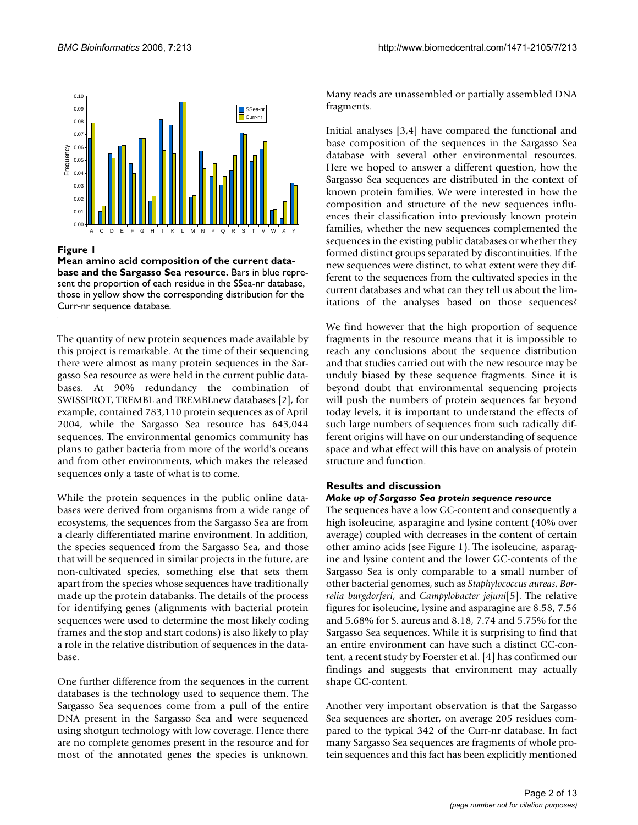

**Mean amino acid composition of the current database and the Sargasso Sea resource.** Bars in blue represent the proportion of each residue in the SSea-nr database, those in yellow show the corresponding distribution for the Curr-nr sequence database.

The quantity of new protein sequences made available by this project is remarkable. At the time of their sequencing there were almost as many protein sequences in the Sargasso Sea resource as were held in the current public databases. At 90% redundancy the combination of SWISSPROT, TREMBL and TREMBLnew databases [2], for example, contained 783,110 protein sequences as of April 2004, while the Sargasso Sea resource has 643,044 sequences. The environmental genomics community has plans to gather bacteria from more of the world's oceans and from other environments, which makes the released sequences only a taste of what is to come.

While the protein sequences in the public online databases were derived from organisms from a wide range of ecosystems, the sequences from the Sargasso Sea are from a clearly differentiated marine environment. In addition, the species sequenced from the Sargasso Sea, and those that will be sequenced in similar projects in the future, are non-cultivated species, something else that sets them apart from the species whose sequences have traditionally made up the protein databanks. The details of the process for identifying genes (alignments with bacterial protein sequences were used to determine the most likely coding frames and the stop and start codons) is also likely to play a role in the relative distribution of sequences in the database.

One further difference from the sequences in the current databases is the technology used to sequence them. The Sargasso Sea sequences come from a pull of the entire DNA present in the Sargasso Sea and were sequenced using shotgun technology with low coverage. Hence there are no complete genomes present in the resource and for most of the annotated genes the species is unknown. Many reads are unassembled or partially assembled DNA fragments.

Initial analyses [3,4] have compared the functional and base composition of the sequences in the Sargasso Sea database with several other environmental resources. Here we hoped to answer a different question, how the Sargasso Sea sequences are distributed in the context of known protein families. We were interested in how the composition and structure of the new sequences influences their classification into previously known protein families, whether the new sequences complemented the sequences in the existing public databases or whether they formed distinct groups separated by discontinuities. If the new sequences were distinct, to what extent were they different to the sequences from the cultivated species in the current databases and what can they tell us about the limitations of the analyses based on those sequences?

We find however that the high proportion of sequence fragments in the resource means that it is impossible to reach any conclusions about the sequence distribution and that studies carried out with the new resource may be unduly biased by these sequence fragments. Since it is beyond doubt that environmental sequencing projects will push the numbers of protein sequences far beyond today levels, it is important to understand the effects of such large numbers of sequences from such radically different origins will have on our understanding of sequence space and what effect will this have on analysis of protein structure and function.

#### **Results and discussion** *Make up of Sargasso Sea protein sequence resource*

The sequences have a low GC-content and consequently a high isoleucine, asparagine and lysine content (40% over average) coupled with decreases in the content of certain other amino acids (see Figure 1). The isoleucine, asparagine and lysine content and the lower GC-contents of the Sargasso Sea is only comparable to a small number of other bacterial genomes, such as *Staphylococcus aureas*, *Borrelia burgdorferi*, and *Campylobacter jejuni*[5]. The relative figures for isoleucine, lysine and asparagine are 8.58, 7.56 and 5.68% for S. aureus and 8.18, 7.74 and 5.75% for the Sargasso Sea sequences. While it is surprising to find that an entire environment can have such a distinct GC-content, a recent study by Foerster et al. [4] has confirmed our findings and suggests that environment may actually shape GC-content.

Another very important observation is that the Sargasso Sea sequences are shorter, on average 205 residues compared to the typical 342 of the Curr-nr database. In fact many Sargasso Sea sequences are fragments of whole protein sequences and this fact has been explicitly mentioned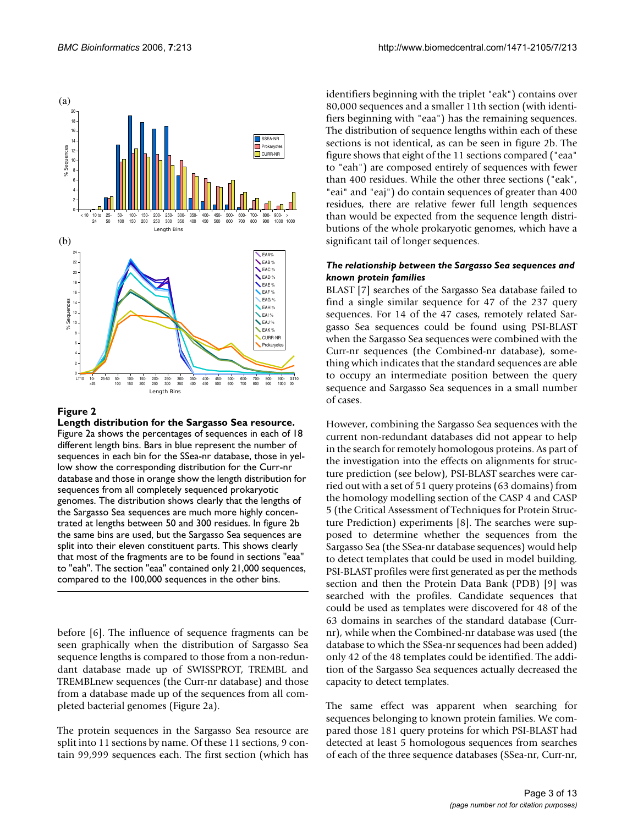

**Length distribution for the Sargasso Sea resource.**  Figure 2a shows the percentages of sequences in each of 18 different length bins. Bars in blue represent the number of sequences in each bin for the SSea-nr database, those in yellow show the corresponding distribution for the Curr-nr database and those in orange show the length distribution for sequences from all completely sequenced prokaryotic genomes. The distribution shows clearly that the lengths of the Sargasso Sea sequences are much more highly concentrated at lengths between 50 and 300 residues. In figure 2b the same bins are used, but the Sargasso Sea sequences are split into their eleven constituent parts. This shows clearly that most of the fragments are to be found in sections "eaa" to "eah". The section "eaa" contained only 21,000 sequences, compared to the 100,000 sequences in the other bins.

before [6]. The influence of sequence fragments can be seen graphically when the distribution of Sargasso Sea sequence lengths is compared to those from a non-redundant database made up of SWISSPROT, TREMBL and TREMBLnew sequences (the Curr-nr database) and those from a database made up of the sequences from all completed bacterial genomes (Figure 2a).

The protein sequences in the Sargasso Sea resource are split into 11 sections by name. Of these 11 sections, 9 contain 99,999 sequences each. The first section (which has identifiers beginning with the triplet "eak") contains over 80,000 sequences and a smaller 11th section (with identifiers beginning with "eaa") has the remaining sequences. The distribution of sequence lengths within each of these sections is not identical, as can be seen in figure 2b. The figure shows that eight of the 11 sections compared ("eaa" to "eah") are composed entirely of sequences with fewer than 400 residues. While the other three sections ("eak", "eai" and "eaj") do contain sequences of greater than 400 residues, there are relative fewer full length sequences than would be expected from the sequence length distributions of the whole prokaryotic genomes, which have a significant tail of longer sequences.

#### *The relationship between the Sargasso Sea sequences and known protein families*

BLAST [7] searches of the Sargasso Sea database failed to find a single similar sequence for 47 of the 237 query sequences. For 14 of the 47 cases, remotely related Sargasso Sea sequences could be found using PSI-BLAST when the Sargasso Sea sequences were combined with the Curr-nr sequences (the Combined-nr database), something which indicates that the standard sequences are able to occupy an intermediate position between the query sequence and Sargasso Sea sequences in a small number of cases.

However, combining the Sargasso Sea sequences with the current non-redundant databases did not appear to help in the search for remotely homologous proteins. As part of the investigation into the effects on alignments for structure prediction (see below), PSI-BLAST searches were carried out with a set of 51 query proteins (63 domains) from the homology modelling section of the CASP 4 and CASP 5 (the Critical Assessment of Techniques for Protein Structure Prediction) experiments [8]. The searches were supposed to determine whether the sequences from the Sargasso Sea (the SSea-nr database sequences) would help to detect templates that could be used in model building. PSI-BLAST profiles were first generated as per the methods section and then the Protein Data Bank (PDB) [9] was searched with the profiles. Candidate sequences that could be used as templates were discovered for 48 of the 63 domains in searches of the standard database (Currnr), while when the Combined-nr database was used (the database to which the SSea-nr sequences had been added) only 42 of the 48 templates could be identified. The addition of the Sargasso Sea sequences actually decreased the capacity to detect templates.

The same effect was apparent when searching for sequences belonging to known protein families. We compared those 181 query proteins for which PSI-BLAST had detected at least 5 homologous sequences from searches of each of the three sequence databases (SSea-nr, Curr-nr,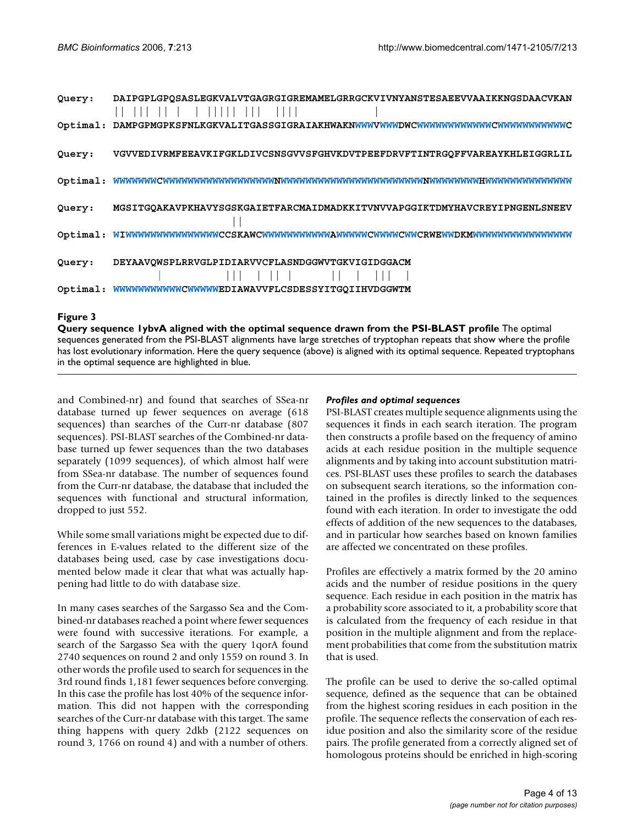| Optimal: DAMPGPMGPKSFNLKGKVALITGASSGIGRAIAKHWAKNWWWWWWWWWWWWWWWWWWWWWWWWWWWWWW |
|--------------------------------------------------------------------------------|
|                                                                                |
|                                                                                |
|                                                                                |
| VGVVEDIVRMFEEAVKIFGKLDIVCSNSGVVSFGHVKDVTPEEFDRVFTINTRGQFFVAREAYKHLEIGGRLIL     |
|                                                                                |
|                                                                                |
|                                                                                |
| MGSITGQAKAVPKHAVYSGSKGAIETFARCMAIDMADKKITVNVVAPGGIKTDMYHAVCREYIPNGENLSNEEV     |
|                                                                                |
|                                                                                |
|                                                                                |
|                                                                                |
|                                                                                |
|                                                                                |
|                                                                                |

#### $\rho$ Figure 3 l sequence and the optima  $\sigma$  is  $\sigma$  sequence drawn from the PSI-BLAST profile drawn from the PSI-BLAST profile drawn from the PSI-BLAST profile drawn from the PSI-BLAST profile drawn from the PSI-BLAST prof

**Query sequence 1ybvA aligned with the optimal sequence drawn from the PSI-BLAST profile** The optimal sequences generated from the PSI-BLAST alignments have large stretches of tryptophan repeats that show where the profile has lost evolutionary information. Here the query sequence (above) is aligned with its optimal sequence. Repeated tryptophans in the optimal sequence are highlighted in blue.

and Combined-nr) and found that searches of SSea-nr database turned up fewer sequences on average (618 sequences) than searches of the Curr-nr database (807 sequences). PSI-BLAST searches of the Combined-nr database turned up fewer sequences than the two databases separately (1099 sequences), of which almost half were from SSea-nr database. The number of sequences found from the Curr-nr database, the database that included the sequences with functional and structural information, dropped to just 552.

While some small variations might be expected due to differences in E-values related to the different size of the databases being used, case by case investigations documented below made it clear that what was actually happening had little to do with database size.

In many cases searches of the Sargasso Sea and the Combined-nr databases reached a point where fewer sequences were found with successive iterations. For example, a search of the Sargasso Sea with the query 1qorA found 2740 sequences on round 2 and only 1559 on round 3. In other words the profile used to search for sequences in the 3rd round finds 1,181 fewer sequences before converging. In this case the profile has lost 40% of the sequence information. This did not happen with the corresponding searches of the Curr-nr database with this target. The same thing happens with query 2dkb (2122 sequences on round 3, 1766 on round 4) and with a number of others.

#### *Profiles and optimal sequences*

PSI-BLAST creates multiple sequence alignments using the sequences it finds in each search iteration. The program then constructs a profile based on the frequency of amino acids at each residue position in the multiple sequence alignments and by taking into account substitution matrices. PSI-BLAST uses these profiles to search the databases on subsequent search iterations, so the information contained in the profiles is directly linked to the sequences found with each iteration. In order to investigate the odd effects of addition of the new sequences to the databases, and in particular how searches based on known families are affected we concentrated on these profiles.

Profiles are effectively a matrix formed by the 20 amino acids and the number of residue positions in the query sequence. Each residue in each position in the matrix has a probability score associated to it, a probability score that is calculated from the frequency of each residue in that position in the multiple alignment and from the replacement probabilities that come from the substitution matrix that is used.

The profile can be used to derive the so-called optimal sequence, defined as the sequence that can be obtained from the highest scoring residues in each position in the profile. The sequence reflects the conservation of each residue position and also the similarity score of the residue pairs. The profile generated from a correctly aligned set of homologous proteins should be enriched in high-scoring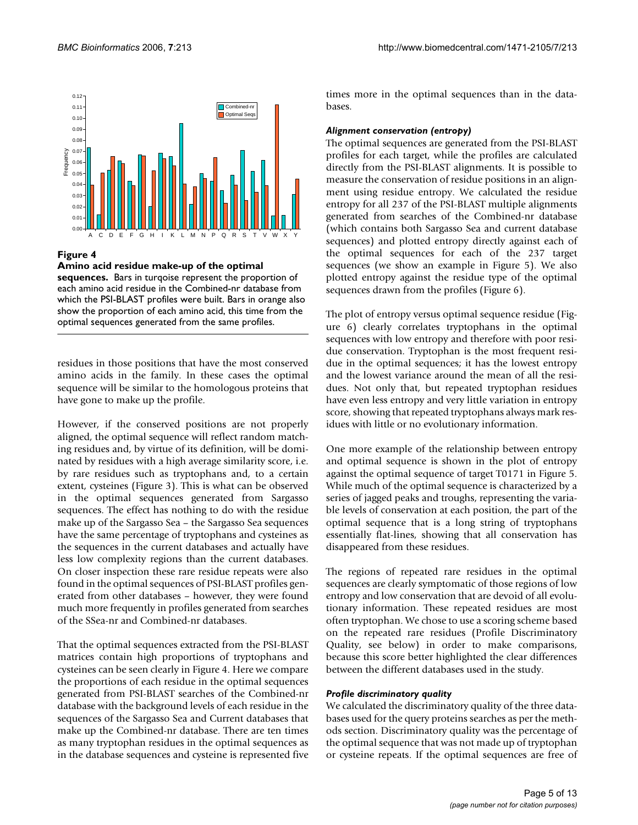

**Amino acid residue make-up of the optimal sequences.** Bars in turqoise represent the proportion of each amino acid residue in the Combined-nr database from which the PSI-BLAST profiles were built. Bars in orange also show the proportion of each amino acid, this time from the optimal sequences generated from the same profiles.

residues in those positions that have the most conserved amino acids in the family. In these cases the optimal sequence will be similar to the homologous proteins that have gone to make up the profile.

However, if the conserved positions are not properly aligned, the optimal sequence will reflect random matching residues and, by virtue of its definition, will be dominated by residues with a high average similarity score, i.e. by rare residues such as tryptophans and, to a certain extent, cysteines (Figure 3). This is what can be observed in the optimal sequences generated from Sargasso sequences. The effect has nothing to do with the residue make up of the Sargasso Sea – the Sargasso Sea sequences have the same percentage of tryptophans and cysteines as the sequences in the current databases and actually have less low complexity regions than the current databases. On closer inspection these rare residue repeats were also found in the optimal sequences of PSI-BLAST profiles generated from other databases – however, they were found much more frequently in profiles generated from searches of the SSea-nr and Combined-nr databases.

That the optimal sequences extracted from the PSI-BLAST matrices contain high proportions of tryptophans and cysteines can be seen clearly in Figure 4. Here we compare the proportions of each residue in the optimal sequences generated from PSI-BLAST searches of the Combined-nr database with the background levels of each residue in the sequences of the Sargasso Sea and Current databases that make up the Combined-nr database. There are ten times as many tryptophan residues in the optimal sequences as in the database sequences and cysteine is represented five times more in the optimal sequences than in the databases.

#### *Alignment conservation (entropy)*

The optimal sequences are generated from the PSI-BLAST profiles for each target, while the profiles are calculated directly from the PSI-BLAST alignments. It is possible to measure the conservation of residue positions in an alignment using residue entropy. We calculated the residue entropy for all 237 of the PSI-BLAST multiple alignments generated from searches of the Combined-nr database (which contains both Sargasso Sea and current database sequences) and plotted entropy directly against each of the optimal sequences for each of the 237 target sequences (we show an example in Figure 5). We also plotted entropy against the residue type of the optimal sequences drawn from the profiles (Figure 6).

The plot of entropy versus optimal sequence residue (Figure 6) clearly correlates tryptophans in the optimal sequences with low entropy and therefore with poor residue conservation. Tryptophan is the most frequent residue in the optimal sequences; it has the lowest entropy and the lowest variance around the mean of all the residues. Not only that, but repeated tryptophan residues have even less entropy and very little variation in entropy score, showing that repeated tryptophans always mark residues with little or no evolutionary information.

One more example of the relationship between entropy and optimal sequence is shown in the plot of entropy against the optimal sequence of target T0171 in Figure 5. While much of the optimal sequence is characterized by a series of jagged peaks and troughs, representing the variable levels of conservation at each position, the part of the optimal sequence that is a long string of tryptophans essentially flat-lines, showing that all conservation has disappeared from these residues.

The regions of repeated rare residues in the optimal sequences are clearly symptomatic of those regions of low entropy and low conservation that are devoid of all evolutionary information. These repeated residues are most often tryptophan. We chose to use a scoring scheme based on the repeated rare residues (Profile Discriminatory Quality, see below) in order to make comparisons, because this score better highlighted the clear differences between the different databases used in the study.

#### *Profile discriminatory quality*

We calculated the discriminatory quality of the three databases used for the query proteins searches as per the methods section. Discriminatory quality was the percentage of the optimal sequence that was not made up of tryptophan or cysteine repeats. If the optimal sequences are free of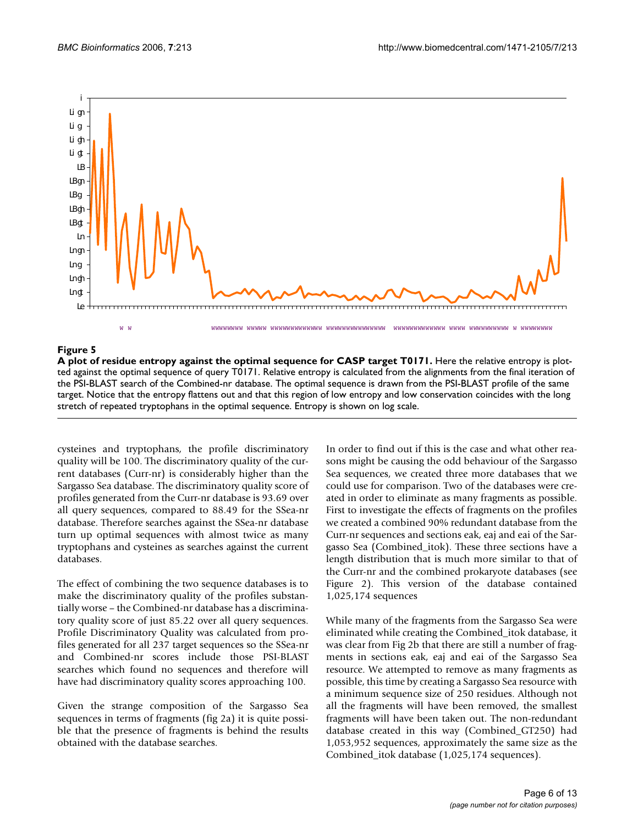

**A plot of residue entropy against the optimal sequence for CASP target T0171.** Here the relative entropy is plotted against the optimal sequence of query T0171. Relative entropy is calculated from the alignments from the final iteration of the PSI-BLAST search of the Combined-nr database. The optimal sequence is drawn from the PSI-BLAST profile of the same target. Notice that the entropy flattens out and that this region of low entropy and low conservation coincides with the long stretch of repeated tryptophans in the optimal sequence. Entropy is shown on log scale.

cysteines and tryptophans, the profile discriminatory quality will be 100. The discriminatory quality of the current databases (Curr-nr) is considerably higher than the Sargasso Sea database. The discriminatory quality score of profiles generated from the Curr-nr database is 93.69 over all query sequences, compared to 88.49 for the SSea-nr database. Therefore searches against the SSea-nr database turn up optimal sequences with almost twice as many tryptophans and cysteines as searches against the current databases.

The effect of combining the two sequence databases is to make the discriminatory quality of the profiles substantially worse – the Combined-nr database has a discriminatory quality score of just 85.22 over all query sequences. Profile Discriminatory Quality was calculated from profiles generated for all 237 target sequences so the SSea-nr and Combined-nr scores include those PSI-BLAST searches which found no sequences and therefore will have had discriminatory quality scores approaching 100.

Given the strange composition of the Sargasso Sea sequences in terms of fragments (fig 2a) it is quite possible that the presence of fragments is behind the results obtained with the database searches.

In order to find out if this is the case and what other reasons might be causing the odd behaviour of the Sargasso Sea sequences, we created three more databases that we could use for comparison. Two of the databases were created in order to eliminate as many fragments as possible. First to investigate the effects of fragments on the profiles we created a combined 90% redundant database from the Curr-nr sequences and sections eak, eaj and eai of the Sargasso Sea (Combined\_itok). These three sections have a length distribution that is much more similar to that of the Curr-nr and the combined prokaryote databases (see Figure 2). This version of the database contained 1,025,174 sequences

While many of the fragments from the Sargasso Sea were eliminated while creating the Combined\_itok database, it was clear from Fig 2b that there are still a number of fragments in sections eak, eaj and eai of the Sargasso Sea resource. We attempted to remove as many fragments as possible, this time by creating a Sargasso Sea resource with a minimum sequence size of 250 residues. Although not all the fragments will have been removed, the smallest fragments will have been taken out. The non-redundant database created in this way (Combined\_GT250) had 1,053,952 sequences, approximately the same size as the Combined\_itok database (1,025,174 sequences).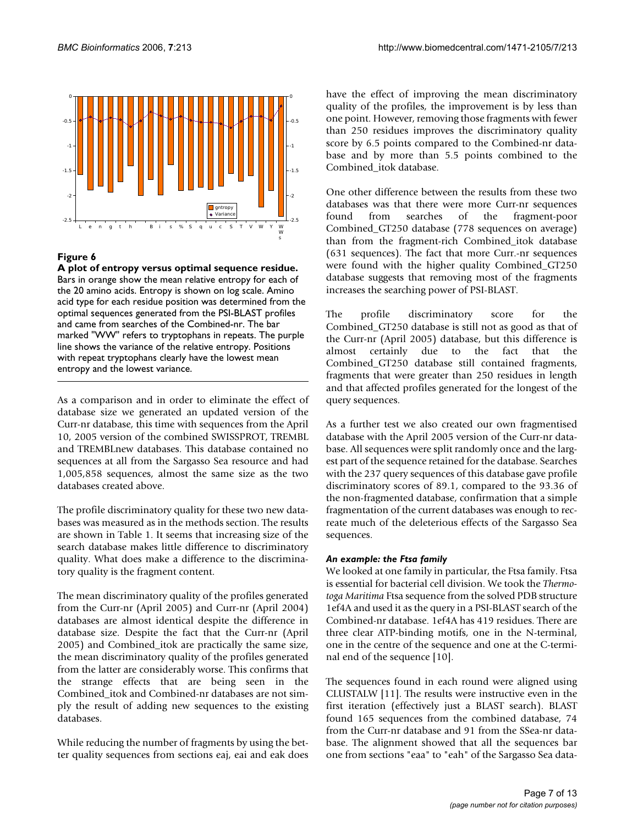

**A plot of entropy versus optimal sequence residue.**  Bars in orange show the mean relative entropy for each of the 20 amino acids. Entropy is shown on log scale. Amino acid type for each residue position was determined from the optimal sequences generated from the PSI-BLAST profiles and came from searches of the Combined-nr. The bar marked "WW" refers to tryptophans in repeats. The purple line shows the variance of the relative entropy. Positions with repeat tryptophans clearly have the lowest mean entropy and the lowest variance.

As a comparison and in order to eliminate the effect of database size we generated an updated version of the Curr-nr database, this time with sequences from the April 10, 2005 version of the combined SWISSPROT, TREMBL and TREMBLnew databases. This database contained no sequences at all from the Sargasso Sea resource and had 1,005,858 sequences, almost the same size as the two databases created above.

The profile discriminatory quality for these two new databases was measured as in the methods section. The results are shown in Table 1. It seems that increasing size of the search database makes little difference to discriminatory quality. What does make a difference to the discriminatory quality is the fragment content.

The mean discriminatory quality of the profiles generated from the Curr-nr (April 2005) and Curr-nr (April 2004) databases are almost identical despite the difference in database size. Despite the fact that the Curr-nr (April 2005) and Combined\_itok are practically the same size, the mean discriminatory quality of the profiles generated from the latter are considerably worse. This confirms that the strange effects that are being seen in the Combined\_itok and Combined-nr databases are not simply the result of adding new sequences to the existing databases.

While reducing the number of fragments by using the better quality sequences from sections eaj, eai and eak does have the effect of improving the mean discriminatory quality of the profiles, the improvement is by less than one point. However, removing those fragments with fewer than 250 residues improves the discriminatory quality score by 6.5 points compared to the Combined-nr database and by more than 5.5 points combined to the Combined\_itok database.

One other difference between the results from these two databases was that there were more Curr-nr sequences found from searches of the fragment-poor Combined\_GT250 database (778 sequences on average) than from the fragment-rich Combined\_itok database (631 sequences). The fact that more Curr.-nr sequences were found with the higher quality Combined\_GT250 database suggests that removing most of the fragments increases the searching power of PSI-BLAST.

The profile discriminatory score for the Combined\_GT250 database is still not as good as that of the Curr-nr (April 2005) database, but this difference is almost certainly due to the fact that the Combined\_GT250 database still contained fragments, fragments that were greater than 250 residues in length and that affected profiles generated for the longest of the query sequences.

As a further test we also created our own fragmentised database with the April 2005 version of the Curr-nr database. All sequences were split randomly once and the largest part of the sequence retained for the database. Searches with the 237 query sequences of this database gave profile discriminatory scores of 89.1, compared to the 93.36 of the non-fragmented database, confirmation that a simple fragmentation of the current databases was enough to recreate much of the deleterious effects of the Sargasso Sea sequences.

#### *An example: the Ftsa family*

We looked at one family in particular, the Ftsa family. Ftsa is essential for bacterial cell division. We took the *Thermotoga Maritima* Ftsa sequence from the solved PDB structure 1ef4A and used it as the query in a PSI-BLAST search of the Combined-nr database. 1ef4A has 419 residues. There are three clear ATP-binding motifs, one in the N-terminal, one in the centre of the sequence and one at the C-terminal end of the sequence [10].

The sequences found in each round were aligned using CLUSTALW [11]. The results were instructive even in the first iteration (effectively just a BLAST search). BLAST found 165 sequences from the combined database, 74 from the Curr-nr database and 91 from the SSea-nr database. The alignment showed that all the sequences bar one from sections "eaa" to "eah" of the Sargasso Sea data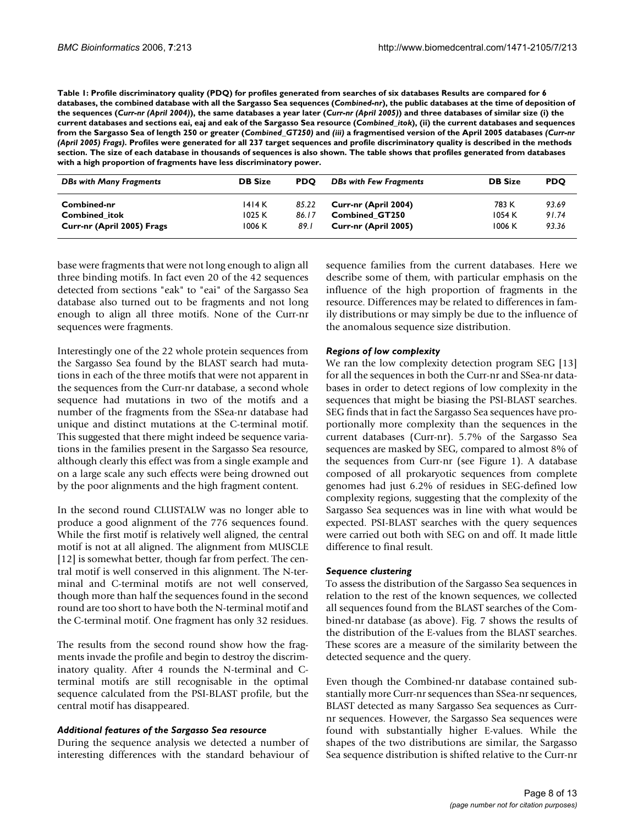**Table 1: Profile discriminatory quality (PDQ) for profiles generated from searches of six databases Results are compared for 6 databases, the combined database with all the Sargasso Sea sequences (***Combined-nr***), the public databases at the time of deposition of the sequences (***Curr-nr (April 2004)***), the same databases a year later (***Curr-nr (April 2005)***) and three databases of similar size (i) the current databases and sections eai, eaj and eak of the Sargasso Sea resource (***Combined\_itok***), (ii) the current databases and sequences from the Sargasso Sea of length 250 or greater (***Combined\_GT250)* **and** *(iii)* **a fragmentised version of the April 2005 databases** *(Curr-nr (April 2005) Frags)***. Profiles were generated for all 237 target sequences and profile discriminatory quality is described in the methods section. The size of each database in thousands of sequences is also shown. The table shows that profiles generated from databases with a high proportion of fragments have less discriminatory power.**

| <b>DBs with Many Fragments</b> | <b>DB</b> Size | <b>PDO</b> | <b>DBs with Few Fragments</b> | <b>DB</b> Size | <b>PDO</b> |
|--------------------------------|----------------|------------|-------------------------------|----------------|------------|
| Combined-nr                    | 1414 K         | 85.22      | Curr-nr (April 2004)          | 783 K          | 93.69      |
| <b>Combined itok</b>           | 1025 K         | 86.17      | <b>Combined GT250</b>         | 1054 K         | 91.74      |
| Curr-nr (April 2005) Frags     | 1006 K         | 89.I       | Curr-nr (April 2005)          | 1006 K         | 93.36      |

base were fragments that were not long enough to align all three binding motifs. In fact even 20 of the 42 sequences detected from sections "eak" to "eai" of the Sargasso Sea database also turned out to be fragments and not long enough to align all three motifs. None of the Curr-nr sequences were fragments.

Interestingly one of the 22 whole protein sequences from the Sargasso Sea found by the BLAST search had mutations in each of the three motifs that were not apparent in the sequences from the Curr-nr database, a second whole sequence had mutations in two of the motifs and a number of the fragments from the SSea-nr database had unique and distinct mutations at the C-terminal motif. This suggested that there might indeed be sequence variations in the families present in the Sargasso Sea resource, although clearly this effect was from a single example and on a large scale any such effects were being drowned out by the poor alignments and the high fragment content.

In the second round CLUSTALW was no longer able to produce a good alignment of the 776 sequences found. While the first motif is relatively well aligned, the central motif is not at all aligned. The alignment from MUSCLE [12] is somewhat better, though far from perfect. The central motif is well conserved in this alignment. The N-terminal and C-terminal motifs are not well conserved, though more than half the sequences found in the second round are too short to have both the N-terminal motif and the C-terminal motif. One fragment has only 32 residues.

The results from the second round show how the fragments invade the profile and begin to destroy the discriminatory quality. After 4 rounds the N-terminal and Cterminal motifs are still recognisable in the optimal sequence calculated from the PSI-BLAST profile, but the central motif has disappeared.

#### *Additional features of the Sargasso Sea resource*

During the sequence analysis we detected a number of interesting differences with the standard behaviour of sequence families from the current databases. Here we describe some of them, with particular emphasis on the influence of the high proportion of fragments in the resource. Differences may be related to differences in family distributions or may simply be due to the influence of the anomalous sequence size distribution.

#### *Regions of low complexity*

We ran the low complexity detection program SEG [13] for all the sequences in both the Curr-nr and SSea-nr databases in order to detect regions of low complexity in the sequences that might be biasing the PSI-BLAST searches. SEG finds that in fact the Sargasso Sea sequences have proportionally more complexity than the sequences in the current databases (Curr-nr). 5.7% of the Sargasso Sea sequences are masked by SEG, compared to almost 8% of the sequences from Curr-nr (see Figure 1). A database composed of all prokaryotic sequences from complete genomes had just 6.2% of residues in SEG-defined low complexity regions, suggesting that the complexity of the Sargasso Sea sequences was in line with what would be expected. PSI-BLAST searches with the query sequences were carried out both with SEG on and off. It made little difference to final result.

#### *Sequence clustering*

To assess the distribution of the Sargasso Sea sequences in relation to the rest of the known sequences, we collected all sequences found from the BLAST searches of the Combined-nr database (as above). Fig. 7 shows the results of the distribution of the E-values from the BLAST searches. These scores are a measure of the similarity between the detected sequence and the query.

Even though the Combined-nr database contained substantially more Curr-nr sequences than SSea-nr sequences, BLAST detected as many Sargasso Sea sequences as Currnr sequences. However, the Sargasso Sea sequences were found with substantially higher E-values. While the shapes of the two distributions are similar, the Sargasso Sea sequence distribution is shifted relative to the Curr-nr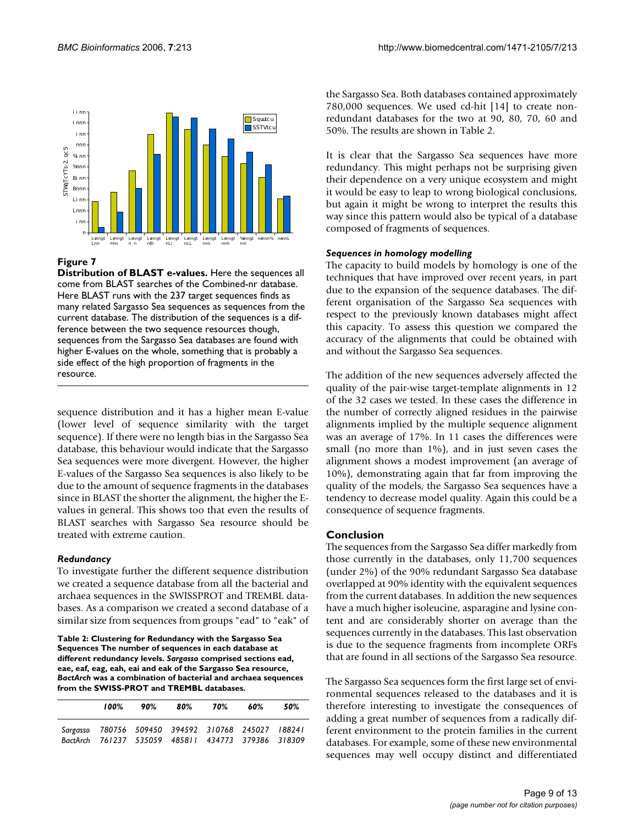

**Distribution of BLAST e-values.** Here the sequences all come from BLAST searches of the Combined-nr database. Here BLAST runs with the 237 target sequences finds as many related Sargasso Sea sequences as sequences from the current database. The distribution of the sequences is a difference between the two sequence resources though, sequences from the Sargasso Sea databases are found with higher E-values on the whole, something that is probably a side effect of the high proportion of fragments in the resource.

sequence distribution and it has a higher mean E-value (lower level of sequence similarity with the target sequence). If there were no length bias in the Sargasso Sea database, this behaviour would indicate that the Sargasso Sea sequences were more divergent. However, the higher E-values of the Sargasso Sea sequences is also likely to be due to the amount of sequence fragments in the databases since in BLAST the shorter the alignment, the higher the Evalues in general. This shows too that even the results of BLAST searches with Sargasso Sea resource should be treated with extreme caution.

#### *Redundancy*

To investigate further the different sequence distribution we created a sequence database from all the bacterial and archaea sequences in the SWISSPROT and TREMBL databases. As a comparison we created a second database of a similar size from sequences from groups "ead" to "eak" of

**Table 2: Clustering for Redundancy with the Sargasso Sea Sequences The number of sequences in each database at different redundancy levels.** *Sargasso* **comprised sections ead, eae, eaf, eag, eah, eai and eak of the Sargasso Sea resource,**  *BactArch* **was a combination of bacterial and archaea sequences from the SWISS-PROT and TREMBL databases.**

| 100% | 90% | 80% | 70%                                                                                                      | 60% | 50% |
|------|-----|-----|----------------------------------------------------------------------------------------------------------|-----|-----|
|      |     |     | Sargasso 780756 509450 394592 310768 245027 188241<br>BactArch 761237 535059 485811 434773 379386 318309 |     |     |

the Sargasso Sea. Both databases contained approximately 780,000 sequences. We used cd-hit [14] to create nonredundant databases for the two at 90, 80, 70, 60 and 50%. The results are shown in Table 2.

It is clear that the Sargasso Sea sequences have more redundancy. This might perhaps not be surprising given their dependence on a very unique ecosystem and might it would be easy to leap to wrong biological conclusions, but again it might be wrong to interpret the results this way since this pattern would also be typical of a database composed of fragments of sequences.

#### *Sequences in homology modelling*

The capacity to build models by homology is one of the techniques that have improved over recent years, in part due to the expansion of the sequence databases. The different organisation of the Sargasso Sea sequences with respect to the previously known databases might affect this capacity. To assess this question we compared the accuracy of the alignments that could be obtained with and without the Sargasso Sea sequences.

The addition of the new sequences adversely affected the quality of the pair-wise target-template alignments in 12 of the 32 cases we tested. In these cases the difference in the number of correctly aligned residues in the pairwise alignments implied by the multiple sequence alignment was an average of 17%. In 11 cases the differences were small (no more than 1%), and in just seven cases the alignment shows a modest improvement (an average of 10%), demonstrating again that far from improving the quality of the models, the Sargasso Sea sequences have a tendency to decrease model quality. Again this could be a consequence of sequence fragments.

### **Conclusion**

The sequences from the Sargasso Sea differ markedly from those currently in the databases, only 11,700 sequences (under 2%) of the 90% redundant Sargasso Sea database overlapped at 90% identity with the equivalent sequences from the current databases. In addition the new sequences have a much higher isoleucine, asparagine and lysine content and are considerably shorter on average than the sequences currently in the databases. This last observation is due to the sequence fragments from incomplete ORFs that are found in all sections of the Sargasso Sea resource.

The Sargasso Sea sequences form the first large set of environmental sequences released to the databases and it is therefore interesting to investigate the consequences of adding a great number of sequences from a radically different environment to the protein families in the current databases. For example, some of these new environmental sequences may well occupy distinct and differentiated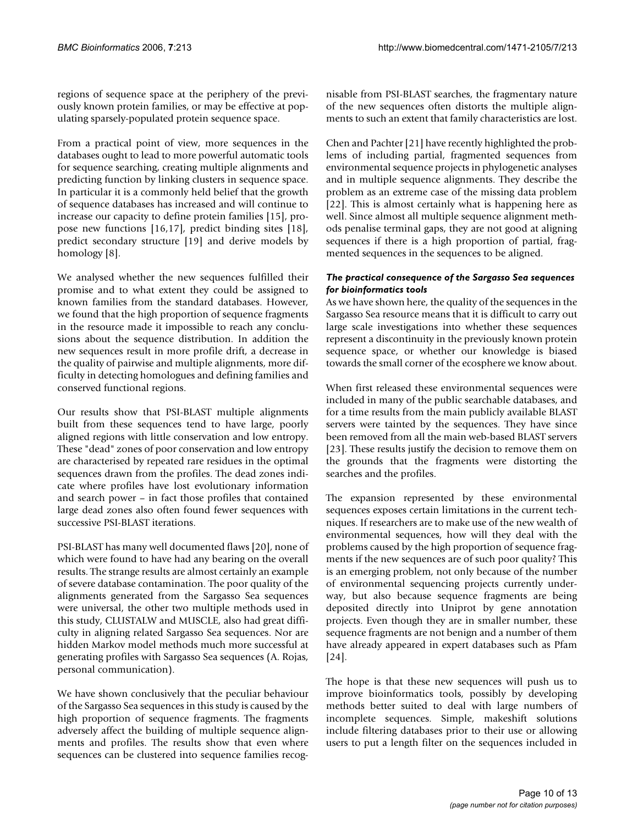regions of sequence space at the periphery of the previously known protein families, or may be effective at populating sparsely-populated protein sequence space.

From a practical point of view, more sequences in the databases ought to lead to more powerful automatic tools for sequence searching, creating multiple alignments and predicting function by linking clusters in sequence space. In particular it is a commonly held belief that the growth of sequence databases has increased and will continue to increase our capacity to define protein families [15], propose new functions [16,17], predict binding sites [18], predict secondary structure [19] and derive models by homology [8].

We analysed whether the new sequences fulfilled their promise and to what extent they could be assigned to known families from the standard databases. However, we found that the high proportion of sequence fragments in the resource made it impossible to reach any conclusions about the sequence distribution. In addition the new sequences result in more profile drift, a decrease in the quality of pairwise and multiple alignments, more difficulty in detecting homologues and defining families and conserved functional regions.

Our results show that PSI-BLAST multiple alignments built from these sequences tend to have large, poorly aligned regions with little conservation and low entropy. These "dead" zones of poor conservation and low entropy are characterised by repeated rare residues in the optimal sequences drawn from the profiles. The dead zones indicate where profiles have lost evolutionary information and search power – in fact those profiles that contained large dead zones also often found fewer sequences with successive PSI-BLAST iterations.

PSI-BLAST has many well documented flaws [20], none of which were found to have had any bearing on the overall results. The strange results are almost certainly an example of severe database contamination. The poor quality of the alignments generated from the Sargasso Sea sequences were universal, the other two multiple methods used in this study, CLUSTALW and MUSCLE, also had great difficulty in aligning related Sargasso Sea sequences. Nor are hidden Markov model methods much more successful at generating profiles with Sargasso Sea sequences (A. Rojas, personal communication).

We have shown conclusively that the peculiar behaviour of the Sargasso Sea sequences in this study is caused by the high proportion of sequence fragments. The fragments adversely affect the building of multiple sequence alignments and profiles. The results show that even where sequences can be clustered into sequence families recognisable from PSI-BLAST searches, the fragmentary nature of the new sequences often distorts the multiple alignments to such an extent that family characteristics are lost.

Chen and Pachter [21] have recently highlighted the problems of including partial, fragmented sequences from environmental sequence projects in phylogenetic analyses and in multiple sequence alignments. They describe the problem as an extreme case of the missing data problem [22]. This is almost certainly what is happening here as well. Since almost all multiple sequence alignment methods penalise terminal gaps, they are not good at aligning sequences if there is a high proportion of partial, fragmented sequences in the sequences to be aligned.

#### *The practical consequence of the Sargasso Sea sequences for bioinformatics tools*

As we have shown here, the quality of the sequences in the Sargasso Sea resource means that it is difficult to carry out large scale investigations into whether these sequences represent a discontinuity in the previously known protein sequence space, or whether our knowledge is biased towards the small corner of the ecosphere we know about.

When first released these environmental sequences were included in many of the public searchable databases, and for a time results from the main publicly available BLAST servers were tainted by the sequences. They have since been removed from all the main web-based BLAST servers [23]. These results justify the decision to remove them on the grounds that the fragments were distorting the searches and the profiles.

The expansion represented by these environmental sequences exposes certain limitations in the current techniques. If researchers are to make use of the new wealth of environmental sequences, how will they deal with the problems caused by the high proportion of sequence fragments if the new sequences are of such poor quality? This is an emerging problem, not only because of the number of environmental sequencing projects currently underway, but also because sequence fragments are being deposited directly into Uniprot by gene annotation projects. Even though they are in smaller number, these sequence fragments are not benign and a number of them have already appeared in expert databases such as Pfam [24].

The hope is that these new sequences will push us to improve bioinformatics tools, possibly by developing methods better suited to deal with large numbers of incomplete sequences. Simple, makeshift solutions include filtering databases prior to their use or allowing users to put a length filter on the sequences included in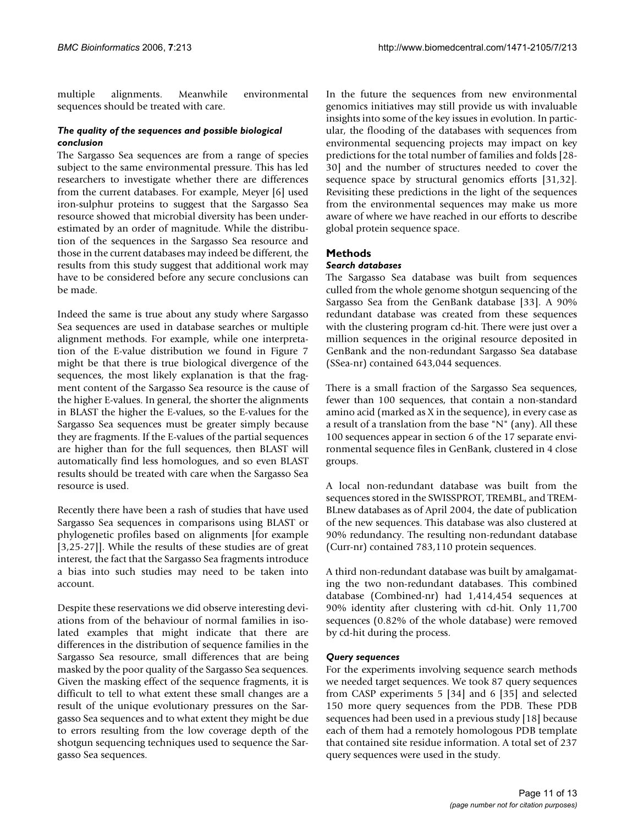multiple alignments. Meanwhile environmental sequences should be treated with care.

#### *The quality of the sequences and possible biological conclusion*

The Sargasso Sea sequences are from a range of species subject to the same environmental pressure. This has led researchers to investigate whether there are differences from the current databases. For example, Meyer [6] used iron-sulphur proteins to suggest that the Sargasso Sea resource showed that microbial diversity has been underestimated by an order of magnitude. While the distribution of the sequences in the Sargasso Sea resource and those in the current databases may indeed be different, the results from this study suggest that additional work may have to be considered before any secure conclusions can be made.

Indeed the same is true about any study where Sargasso Sea sequences are used in database searches or multiple alignment methods. For example, while one interpretation of the E-value distribution we found in Figure 7 might be that there is true biological divergence of the sequences, the most likely explanation is that the fragment content of the Sargasso Sea resource is the cause of the higher E-values. In general, the shorter the alignments in BLAST the higher the E-values, so the E-values for the Sargasso Sea sequences must be greater simply because they are fragments. If the E-values of the partial sequences are higher than for the full sequences, then BLAST will automatically find less homologues, and so even BLAST results should be treated with care when the Sargasso Sea resource is used.

Recently there have been a rash of studies that have used Sargasso Sea sequences in comparisons using BLAST or phylogenetic profiles based on alignments [for example [3,25-27]]. While the results of these studies are of great interest, the fact that the Sargasso Sea fragments introduce a bias into such studies may need to be taken into account.

Despite these reservations we did observe interesting deviations from of the behaviour of normal families in isolated examples that might indicate that there are differences in the distribution of sequence families in the Sargasso Sea resource, small differences that are being masked by the poor quality of the Sargasso Sea sequences. Given the masking effect of the sequence fragments, it is difficult to tell to what extent these small changes are a result of the unique evolutionary pressures on the Sargasso Sea sequences and to what extent they might be due to errors resulting from the low coverage depth of the shotgun sequencing techniques used to sequence the Sargasso Sea sequences.

In the future the sequences from new environmental genomics initiatives may still provide us with invaluable insights into some of the key issues in evolution. In particular, the flooding of the databases with sequences from environmental sequencing projects may impact on key predictions for the total number of families and folds [28- 30] and the number of structures needed to cover the sequence space by structural genomics efforts [31,32]. Revisiting these predictions in the light of the sequences from the environmental sequences may make us more aware of where we have reached in our efforts to describe global protein sequence space.

#### **Methods**

#### *Search databases*

The Sargasso Sea database was built from sequences culled from the whole genome shotgun sequencing of the Sargasso Sea from the GenBank database [33]. A 90% redundant database was created from these sequences with the clustering program cd-hit. There were just over a million sequences in the original resource deposited in GenBank and the non-redundant Sargasso Sea database (SSea-nr) contained 643,044 sequences.

There is a small fraction of the Sargasso Sea sequences, fewer than 100 sequences, that contain a non-standard amino acid (marked as X in the sequence), in every case as a result of a translation from the base "N" (any). All these 100 sequences appear in section 6 of the 17 separate environmental sequence files in GenBank, clustered in 4 close groups.

A local non-redundant database was built from the sequences stored in the SWISSPROT, TREMBL, and TREM-BLnew databases as of April 2004, the date of publication of the new sequences. This database was also clustered at 90% redundancy. The resulting non-redundant database (Curr-nr) contained 783,110 protein sequences.

A third non-redundant database was built by amalgamating the two non-redundant databases. This combined database (Combined-nr) had 1,414,454 sequences at 90% identity after clustering with cd-hit. Only 11,700 sequences (0.82% of the whole database) were removed by cd-hit during the process.

#### *Query sequences*

For the experiments involving sequence search methods we needed target sequences. We took 87 query sequences from CASP experiments 5 [34] and 6 [35] and selected 150 more query sequences from the PDB. These PDB sequences had been used in a previous study [18] because each of them had a remotely homologous PDB template that contained site residue information. A total set of 237 query sequences were used in the study.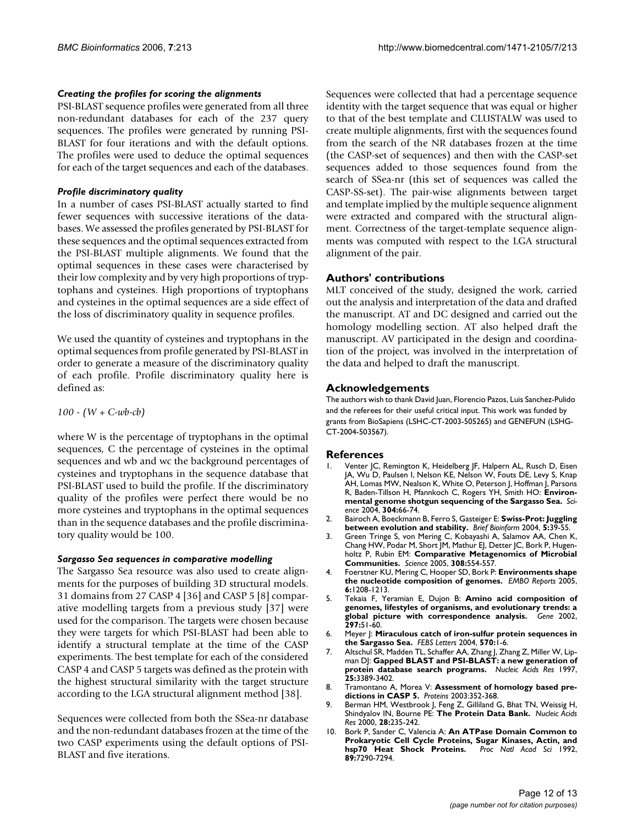#### *Creating the profiles for scoring the alignments*

PSI-BLAST sequence profiles were generated from all three non-redundant databases for each of the 237 query sequences. The profiles were generated by running PSI-BLAST for four iterations and with the default options. The profiles were used to deduce the optimal sequences for each of the target sequences and each of the databases.

#### *Profile discriminatory quality*

In a number of cases PSI-BLAST actually started to find fewer sequences with successive iterations of the databases. We assessed the profiles generated by PSI-BLAST for these sequences and the optimal sequences extracted from the PSI-BLAST multiple alignments. We found that the optimal sequences in these cases were characterised by their low complexity and by very high proportions of tryptophans and cysteines. High proportions of tryptophans and cysteines in the optimal sequences are a side effect of the loss of discriminatory quality in sequence profiles.

We used the quantity of cysteines and tryptophans in the optimal sequences from profile generated by PSI-BLAST in order to generate a measure of the discriminatory quality of each profile. Profile discriminatory quality here is defined as:

*100 - (W + C-wb-cb)*

where W is the percentage of tryptophans in the optimal sequences, C the percentage of cysteines in the optimal sequences and wb and wc the background percentages of cysteines and tryptophans in the sequence database that PSI-BLAST used to build the profile. If the discriminatory quality of the profiles were perfect there would be no more cysteines and tryptophans in the optimal sequences than in the sequence databases and the profile discriminatory quality would be 100.

#### *Sargasso Sea sequences in comparative modelling*

The Sargasso Sea resource was also used to create alignments for the purposes of building 3D structural models. 31 domains from 27 CASP 4 [36] and CASP 5 [8] comparative modelling targets from a previous study [37] were used for the comparison. The targets were chosen because they were targets for which PSI-BLAST had been able to identify a structural template at the time of the CASP experiments. The best template for each of the considered CASP 4 and CASP 5 targets was defined as the protein with the highest structural similarity with the target structure according to the LGA structural alignment method [38].

Sequences were collected from both the SSea-nr database and the non-redundant databases frozen at the time of the two CASP experiments using the default options of PSI-BLAST and five iterations.

Sequences were collected that had a percentage sequence identity with the target sequence that was equal or higher to that of the best template and CLUSTALW was used to create multiple alignments, first with the sequences found from the search of the NR databases frozen at the time (the CASP-set of sequences) and then with the CASP-set sequences added to those sequences found from the search of SSea-nr (this set of sequences was called the CASP-SS-set). The pair-wise alignments between target and template implied by the multiple sequence alignment were extracted and compared with the structural alignment. Correctness of the target-template sequence alignments was computed with respect to the LGA structural alignment of the pair.

#### **Authors' contributions**

MLT conceived of the study, designed the work, carried out the analysis and interpretation of the data and drafted the manuscript. AT and DC designed and carried out the homology modelling section. AT also helped draft the manuscript. AV participated in the design and coordination of the project, was involved in the interpretation of the data and helped to draft the manuscript.

#### **Acknowledgements**

The authors wish to thank David Juan, Florencio Pazos, Luis Sanchez-Pulido and the referees for their useful critical input. This work was funded by grants from BioSapiens (LSHC-CT-2003-505265) and GENEFUN (LSHG-CT-2004-503567).

#### **References**

- 1. Venter JC, Remington K, Heidelberg JF, Halpern AL, Rusch D, Eisen JA, Wu D, Paulsen I, Nelson KE, Nelson W, Fouts DE, Levy S, Knap AH, Lomas MW, Nealson K, White O, Peterson J, Hoffman J, Parsons R, Baden-Tillson H, Pfannkoch C, Rogers YH, Smith HO: **[Environ](http://www.ncbi.nlm.nih.gov/entrez/query.fcgi?cmd=Retrieve&db=PubMed&dopt=Abstract&list_uids=15001713)[mental genome shotgun sequencing of the Sargasso Sea.](http://www.ncbi.nlm.nih.gov/entrez/query.fcgi?cmd=Retrieve&db=PubMed&dopt=Abstract&list_uids=15001713)** *Science* 2004, **304:**66-74.
- 2. Bairoch A, Boeckmann B, Ferro S, Gasteiger E: **[Swiss-Prot: Juggling](http://www.ncbi.nlm.nih.gov/entrez/query.fcgi?cmd=Retrieve&db=PubMed&dopt=Abstract&list_uids=15153305) [between evolution and stability.](http://www.ncbi.nlm.nih.gov/entrez/query.fcgi?cmd=Retrieve&db=PubMed&dopt=Abstract&list_uids=15153305)** *Brief Bioinform* 2004, **5:**39-55.
- 3. Green Tringe S, von Mering C, Kobayashi A, Salamov AA, Chen K, Chang HW, Podar M, Short JM, Mathur EJ, Detter JC, Bork P, Hugenholtz P, Rubin EM: **[Comparative Metagenomics of Microbial](http://www.ncbi.nlm.nih.gov/entrez/query.fcgi?cmd=Retrieve&db=PubMed&dopt=Abstract&list_uids=15845853) [Communities.](http://www.ncbi.nlm.nih.gov/entrez/query.fcgi?cmd=Retrieve&db=PubMed&dopt=Abstract&list_uids=15845853)** *Science* 2005, **308:**554-557.
- 4. Foerstner KU, Mering C, Hooper SD, Bork P: **[Environments shape](http://www.ncbi.nlm.nih.gov/entrez/query.fcgi?cmd=Retrieve&db=PubMed&dopt=Abstract&list_uids=16200051) [the nucleotide composition of genomes.](http://www.ncbi.nlm.nih.gov/entrez/query.fcgi?cmd=Retrieve&db=PubMed&dopt=Abstract&list_uids=16200051)** *EMBO Reports* 2005, **6:**1208-1213.
- 5. Tekaia F, Yeramian E, Dujon B: **[Amino acid composition of](http://www.ncbi.nlm.nih.gov/entrez/query.fcgi?cmd=Retrieve&db=PubMed&dopt=Abstract&list_uids=12384285) [genomes, lifestyles of organisms, and evolutionary trends: a](http://www.ncbi.nlm.nih.gov/entrez/query.fcgi?cmd=Retrieve&db=PubMed&dopt=Abstract&list_uids=12384285) [global picture with correspondence analysis.](http://www.ncbi.nlm.nih.gov/entrez/query.fcgi?cmd=Retrieve&db=PubMed&dopt=Abstract&list_uids=12384285)** *Gene* 2002, **297:**51-60.
- 6. Meyer J: **[Miraculous catch of iron-sulfur protein sequences in](http://www.ncbi.nlm.nih.gov/entrez/query.fcgi?cmd=Retrieve&db=PubMed&dopt=Abstract&list_uids=15251429) [the Sargasso Sea.](http://www.ncbi.nlm.nih.gov/entrez/query.fcgi?cmd=Retrieve&db=PubMed&dopt=Abstract&list_uids=15251429)** *FEBS Letters* 2004, **570:**1-6.
- 7. Altschul SR, Madden TL, Schaffer AA, Zhang J, Zhang Z, Miller W, Lipman DJ: **[Gapped BLAST and PSI-BLAST: a new generation of](http://www.ncbi.nlm.nih.gov/entrez/query.fcgi?cmd=Retrieve&db=PubMed&dopt=Abstract&list_uids=9254694) [protein database search programs.](http://www.ncbi.nlm.nih.gov/entrez/query.fcgi?cmd=Retrieve&db=PubMed&dopt=Abstract&list_uids=9254694)** *Nucleic Acids Res* 1997, **25:**3389-3402.
- 8. Tramontano A, Morea V: **Assessment of homology based predictions in CASP 5.** *Proteins* 2003:352-368.
- 9. Berman HM, Westbrook J, Feng Z, Gilliland G, Bhat TN, Weissig H, Shindyalov IN, Bourne PE: **[The Protein Data Bank.](http://www.ncbi.nlm.nih.gov/entrez/query.fcgi?cmd=Retrieve&db=PubMed&dopt=Abstract&list_uids=10592235)** *Nucleic Acids Res* 2000, **28:**235-242.
- 10. Bork P, Sander C, Valencia A: **[An ATPase Domain Common to](http://www.ncbi.nlm.nih.gov/entrez/query.fcgi?cmd=Retrieve&db=PubMed&dopt=Abstract&list_uids=1323828) [Prokaryotic Cell Cycle Proteins, Sugar Kinases, Actin, and](http://www.ncbi.nlm.nih.gov/entrez/query.fcgi?cmd=Retrieve&db=PubMed&dopt=Abstract&list_uids=1323828) [hsp70 Heat Shock Proteins.](http://www.ncbi.nlm.nih.gov/entrez/query.fcgi?cmd=Retrieve&db=PubMed&dopt=Abstract&list_uids=1323828)** *Proc Natl Acad Sci* 1992, **89:**7290-7294.